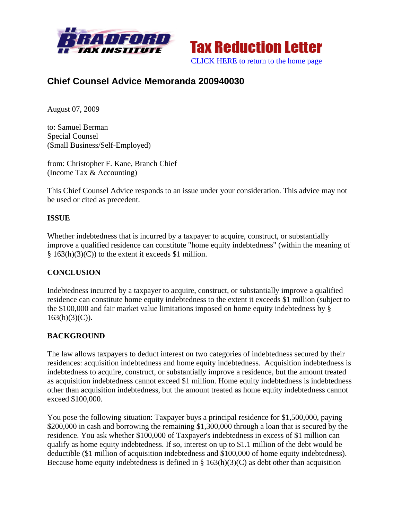



# **Chief Counsel Advice Memoranda 200940030**

August 07, 2009

to: Samuel Berman Special Counsel (Small Business/Self-Employed)

from: Christopher F. Kane, Branch Chief (Income Tax & Accounting)

This Chief Counsel Advice responds to an issue under your consideration. This advice may not be used or cited as precedent.

### **ISSUE**

Whether indebtedness that is incurred by a taxpayer to acquire, construct, or substantially improve a qualified residence can constitute "home equity indebtedness" (within the meaning of § 163(h)(3)(C)) to the extent it exceeds \$1 million.

### **CONCLUSION**

Indebtedness incurred by a taxpayer to acquire, construct, or substantially improve a qualified residence can constitute home equity indebtedness to the extent it exceeds \$1 million (subject to the \$100,000 and fair market value limitations imposed on home equity indebtedness by §  $163(h)(3)(C)$ ).

### **BACKGROUND**

The law allows taxpayers to deduct interest on two categories of indebtedness secured by their residences: acquisition indebtedness and home equity indebtedness. Acquisition indebtedness is indebtedness to acquire, construct, or substantially improve a residence, but the amount treated as acquisition indebtedness cannot exceed \$1 million. Home equity indebtedness is indebtedness other than acquisition indebtedness, but the amount treated as home equity indebtedness cannot exceed \$100,000.

You pose the following situation: Taxpayer buys a principal residence for \$1,500,000, paying \$200,000 in cash and borrowing the remaining \$1,300,000 through a loan that is secured by the residence. You ask whether \$100,000 of Taxpayer's indebtedness in excess of \$1 million can qualify as home equity indebtedness. If so, interest on up to \$1.1 million of the debt would be deductible (\$1 million of acquisition indebtedness and \$100,000 of home equity indebtedness). Because home equity indebtedness is defined in  $\S$  163(h)(3)(C) as debt other than acquisition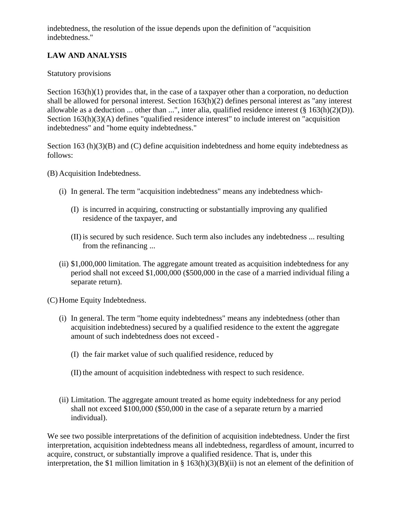indebtedness, the resolution of the issue depends upon the definition of "acquisition indebtedness."

## **LAW AND ANALYSIS**

#### Statutory provisions

Section  $163(h)(1)$  provides that, in the case of a taxpayer other than a corporation, no deduction shall be allowed for personal interest. Section 163(h)(2) defines personal interest as "any interest allowable as a deduction ... other than ...", inter alia, qualified residence interest  $(\S 163(h)(2)(D))$ . Section 163(h)(3)(A) defines "qualified residence interest" to include interest on "acquisition" indebtedness" and "home equity indebtedness."

Section 163 (h)(3)(B) and (C) define acquisition indebtedness and home equity indebtedness as follows:

(B) Acquisition Indebtedness.

- (i) In general. The term "acquisition indebtedness" means any indebtedness which-
	- (I) is incurred in acquiring, constructing or substantially improving any qualified residence of the taxpayer, and
	- (II) is secured by such residence. Such term also includes any indebtedness ... resulting from the refinancing ...
- (ii) \$1,000,000 limitation. The aggregate amount treated as acquisition indebtedness for any period shall not exceed \$1,000,000 (\$500,000 in the case of a married individual filing a separate return).

(C) Home Equity Indebtedness.

- (i) In general. The term "home equity indebtedness" means any indebtedness (other than acquisition indebtedness) secured by a qualified residence to the extent the aggregate amount of such indebtedness does not exceed -
	- (I) the fair market value of such qualified residence, reduced by
	- (II) the amount of acquisition indebtedness with respect to such residence.
- (ii) Limitation. The aggregate amount treated as home equity indebtedness for any period shall not exceed \$100,000 (\$50,000 in the case of a separate return by a married individual).

We see two possible interpretations of the definition of acquisition indebtedness. Under the first interpretation, acquisition indebtedness means all indebtedness, regardless of amount, incurred to acquire, construct, or substantially improve a qualified residence. That is, under this interpretation, the \$1 million limitation in § 163(h)(3)(B)(ii) is not an element of the definition of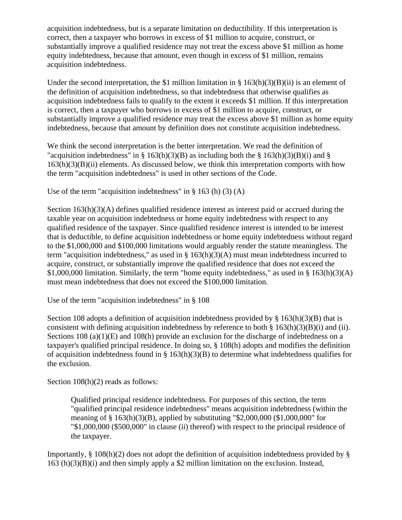acquisition indebtedness, but is a separate limitation on deductibility. If this interpretation is correct, then a taxpayer who borrows in excess of \$1 million to acquire, construct, or substantially improve a qualified residence may not treat the excess above \$1 million as home equity indebtedness, because that amount, even though in excess of \$1 million, remains acquisition indebtedness.

Under the second interpretation, the \$1 million limitation in  $\S$  163(h)(3)(B)(ii) is an element of the definition of acquisition indebtedness, so that indebtedness that otherwise qualifies as acquisition indebtedness fails to qualify to the extent it exceeds \$1 million. If this interpretation is correct, then a taxpayer who borrows in excess of \$1 million to acquire, construct, or substantially improve a qualified residence may treat the excess above \$1 million as home equity indebtedness, because that amount by definition does not constitute acquisition indebtedness.

We think the second interpretation is the better interpretation. We read the definition of "acquisition indebtedness" in § 163(h)(3)(B) as including both the § 163(h)(3)(B)(i) and §  $163(h)(3)(B)(ii)$  elements. As discussed below, we think this interpretation comports with how the term "acquisition indebtedness" is used in other sections of the Code.

Use of the term "acquisition indebtedness" in § 163 (h) (3) (A)

Section  $163(h)(3)(A)$  defines qualified residence interest as interest paid or accrued during the taxable year on acquisition indebtedness or home equity indebtedness with respect to any qualified residence of the taxpayer. Since qualified residence interest is intended to be interest that is deductible, to define acquisition indebtedness or home equity indebtedness without regard to the \$1,000,000 and \$100,000 limitations would arguably render the statute meaningless. The term "acquisition indebtedness," as used in § 163(h)(3)(A) must mean indebtedness incurred to acquire, construct, or substantially improve the qualified residence that does not exceed the \$1,000,000 limitation. Similarly, the term "home equity indebtedness," as used in  $\S$  163(h)(3)(A) must mean indebtedness that does not exceed the \$100,000 limitation.

Use of the term "acquisition indebtedness" in § 108

Section 108 adopts a definition of acquisition indebtedness provided by § 163(h)(3)(B) that is consistent with defining acquisition indebtedness by reference to both  $\S$  163(h)(3)(B)(i) and (ii). Sections 108 (a)(1)(E) and 108(h) provide an exclusion for the discharge of indebtedness on a taxpayer's qualified principal residence. In doing so, § 108(h) adopts and modifies the definition of acquisition indebtedness found in § 163(h)(3)(B) to determine what indebtedness qualifies for the exclusion.

Section  $108(h)(2)$  reads as follows:

Qualified principal residence indebtedness. For purposes of this section, the term "qualified principal residence indebtedness" means acquisition indebtedness (within the meaning of § 163(h)(3)(B), applied by substituting "\$2,000,000 (\$1,000,000" for "\$1,000,000 (\$500,000" in clause (ii) thereof) with respect to the principal residence of the taxpayer.

Importantly, § 108(h)(2) does not adopt the definition of acquisition indebtedness provided by § 163 (h)(3)(B)(i) and then simply apply a \$2 million limitation on the exclusion. Instead,